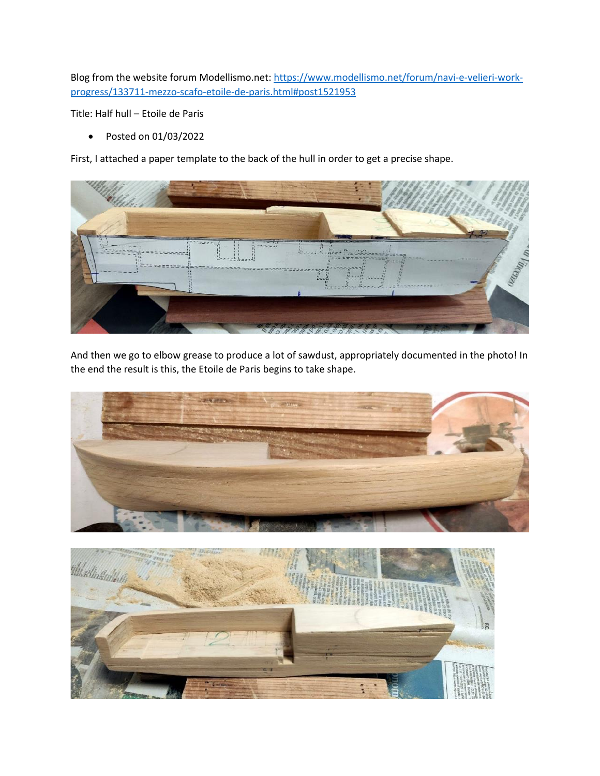Blog from the website forum Modellismo.net: https://www.modellismo.net/forum/navi-e-velieri-workprogress/133711-mezzo-scafo-etoile-de-paris.html#post1521953

Title: Half hull – Etoile de Paris

• Posted on 01/03/2022

First, I attached a paper template to the back of the hull in order to get a precise shape.



And then we go to elbow grease to produce a lot of sawdust, appropriately documented in the photo! In the end the result is this, the Etoile de Paris begins to take shape.



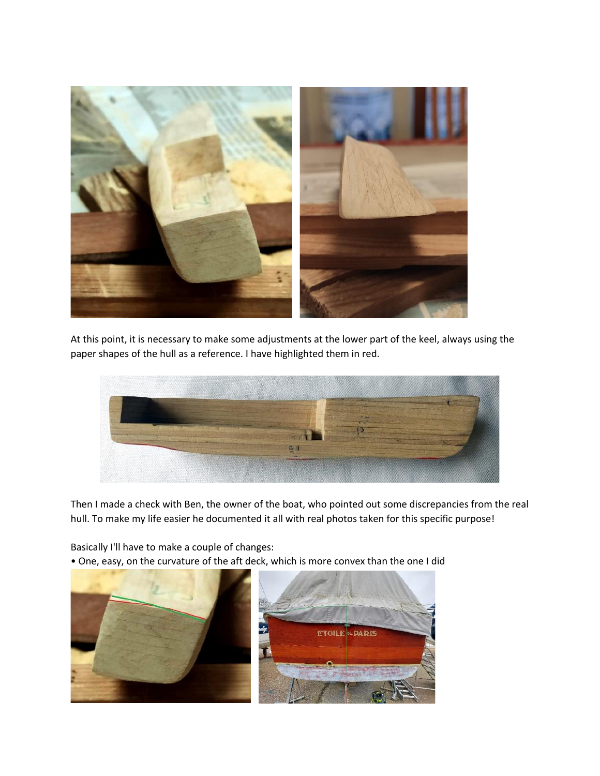

At this point, it is necessary to make some adjustments at the lower part of the keel, always using the paper shapes of the hull as a reference. I have highlighted them in red.



Then I made a check with Ben, the owner of the boat, who pointed out some discrepancies from the real hull. To make my life easier he documented it all with real photos taken for this specific purpose!

Basically I'll have to make a couple of changes:

• One, easy, on the curvature of the aft deck, which is more convex than the one I did

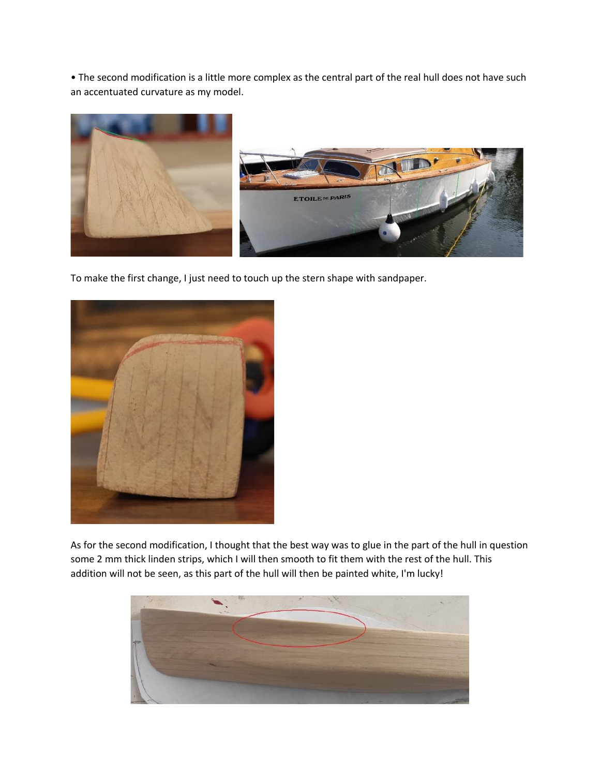• The second modification is a little more complex as the central part of the real hull does not have such an accentuated curvature as my model.



To make the first change, I just need to touch up the stern shape with sandpaper.



As for the second modification, I thought that the best way was to glue in the part of the hull in question some 2 mm thick linden strips, which I will then smooth to fit them with the rest of the hull. This addition will not be seen, as this part of the hull will then be painted white, I'm lucky!